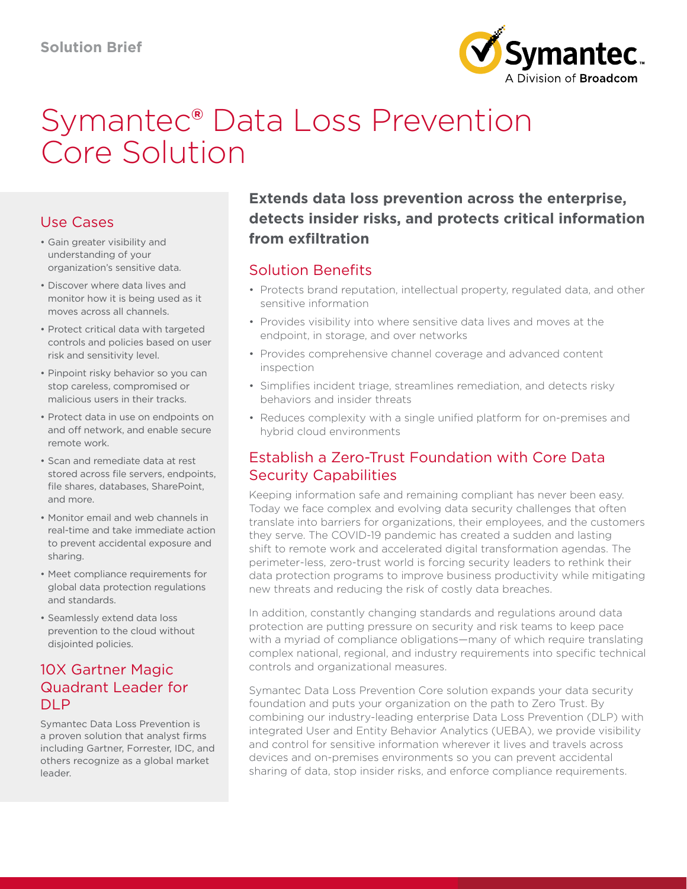

# Symantec® Data Loss Prevention Core Solution

# Use Cases

- Gain greater visibility and understanding of your organization's sensitive data.
- Discover where data lives and monitor how it is being used as it moves across all channels.
- Protect critical data with targeted controls and policies based on user risk and sensitivity level.
- Pinpoint risky behavior so you can stop careless, compromised or malicious users in their tracks.
- Protect data in use on endpoints on and off network, and enable secure remote work.
- Scan and remediate data at rest stored across file servers, endpoints, file shares, databases, SharePoint, and more.
- Monitor email and web channels in real-time and take immediate action to prevent accidental exposure and sharing.
- Meet compliance requirements for global data protection regulations and standards.
- Seamlessly extend data loss prevention to the cloud without disjointed policies.

## 10X Gartner Magic Quadrant Leader for DLP

Symantec Data Loss Prevention is a proven solution that analyst firms including Gartner, Forrester, IDC, and others recognize as a global market leader.

# **Extends data loss prevention across the enterprise, detects insider risks, and protects critical information from exfiltration**

## Solution Benefits

- Protects brand reputation, intellectual property, regulated data, and other sensitive information
- Provides visibility into where sensitive data lives and moves at the endpoint, in storage, and over networks
- Provides comprehensive channel coverage and advanced content inspection
- Simplifies incident triage, streamlines remediation, and detects risky behaviors and insider threats
- Reduces complexity with a single unified platform for on-premises and hybrid cloud environments

## Establish a Zero-Trust Foundation with Core Data Security Capabilities

Keeping information safe and remaining compliant has never been easy. Today we face complex and evolving data security challenges that often translate into barriers for organizations, their employees, and the customers they serve. The COVID-19 pandemic has created a sudden and lasting shift to remote work and accelerated digital transformation agendas. The perimeter-less, zero-trust world is forcing security leaders to rethink their data protection programs to improve business productivity while mitigating new threats and reducing the risk of costly data breaches.

In addition, constantly changing standards and regulations around data protection are putting pressure on security and risk teams to keep pace with a myriad of compliance obligations—many of which require translating complex national, regional, and industry requirements into specific technical controls and organizational measures.

Symantec Data Loss Prevention Core solution expands your data security foundation and puts your organization on the path to Zero Trust. By combining our industry-leading enterprise Data Loss Prevention (DLP) with integrated User and Entity Behavior Analytics (UEBA), we provide visibility and control for sensitive information wherever it lives and travels across devices and on-premises environments so you can prevent accidental sharing of data, stop insider risks, and enforce compliance requirements.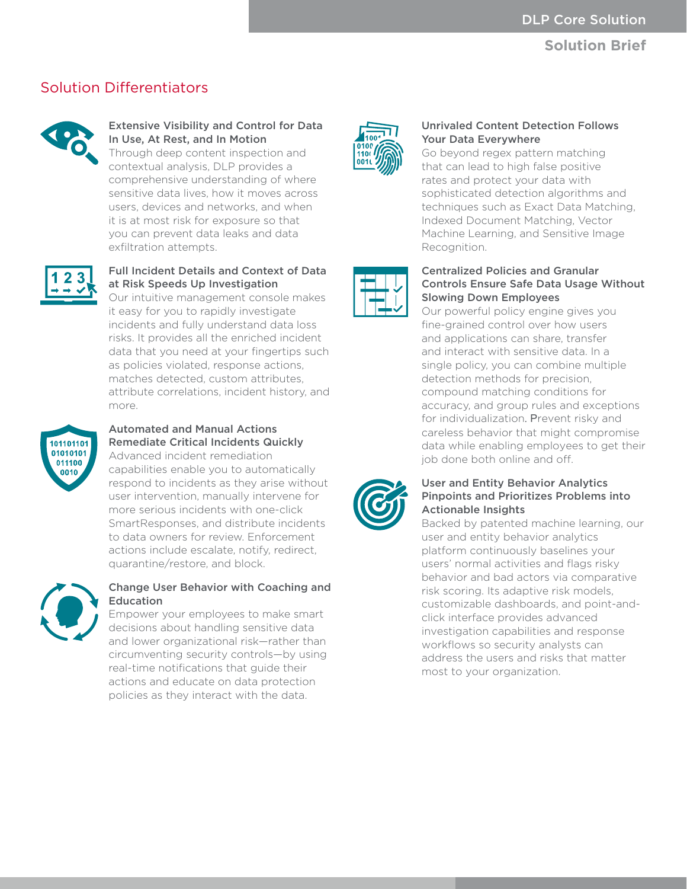## **Solution Brief**

## Solution Differentiators



Extensive Visibility and Control for Data In Use, At Rest, and In Motion Through deep content inspection and

contextual analysis, DLP provides a comprehensive understanding of where sensitive data lives, how it moves across users, devices and networks, and when it is at most risk for exposure so that you can prevent data leaks and data exfiltration attempts.



## Full Incident Details and Context of Data at Risk Speeds Up Investigation

Our intuitive management console makes it easy for you to rapidly investigate incidents and fully understand data loss risks. It provides all the enriched incident data that you need at your fingertips such as policies violated, response actions, matches detected, custom attributes, attribute correlations, incident history, and more.



#### Automated and Manual Actions Remediate Critical Incidents Quickly Advanced incident remediation capabilities enable you to automatically

respond to incidents as they arise without user intervention, manually intervene for more serious incidents with one-click SmartResponses, and distribute incidents to data owners for review. Enforcement actions include escalate, notify, redirect, quarantine/restore, and block.



## Change User Behavior with Coaching and Education

Empower your employees to make smart decisions about handling sensitive data and lower organizational risk—rather than circumventing security controls—by using real-time notifications that guide their actions and educate on data protection policies as they interact with the data.



## Unrivaled Content Detection Follows Your Data Everywhere

Go beyond regex pattern matching that can lead to high false positive rates and protect your data with sophisticated detection algorithms and techniques such as Exact Data Matching, Indexed Document Matching, Vector Machine Learning, and Sensitive Image Recognition.



#### Centralized Policies and Granular Controls Ensure Safe Data Usage Without Slowing Down Employees

Our powerful policy engine gives you fine-grained control over how users and applications can share, transfer and interact with sensitive data. In a single policy, you can combine multiple detection methods for precision, compound matching conditions for accuracy, and group rules and exceptions for individualization. Prevent risky and careless behavior that might compromise data while enabling employees to get their job done both online and off.



#### User and Entity Behavior Analytics Pinpoints and Prioritizes Problems into Actionable Insights

Backed by patented machine learning, our user and entity behavior analytics platform continuously baselines your users' normal activities and flags risky behavior and bad actors via comparative risk scoring. Its adaptive risk models, customizable dashboards, and point-andclick interface provides advanced investigation capabilities and response workflows so security analysts can address the users and risks that matter most to your organization.